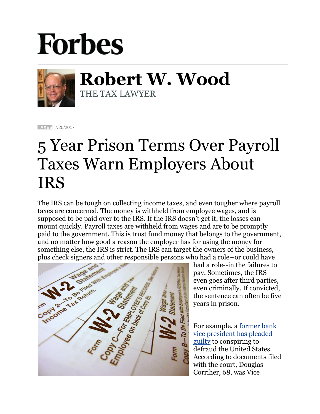## **Forbes**



**Robert W. Wood** THE TAX LAWYER

**[TAXES](https://www.forbes.com/taxes)** 7/25/2017

## 5 Year Prison Terms Over Payroll Taxes Warn Employers About IRS

The IRS can be tough on collecting income taxes, and even tougher where payroll taxes are concerned. The money is withheld from employee wages, and is supposed to be paid over to the IRS. If the IRS doesn't get it, the losses can mount quickly. Payroll taxes are withheld from wages and are to be promptly paid to the government. This is trust fund money that belongs to the government, and no matter how good a reason the employer has for using the money for something else, the IRS is strict. The IRS can target the owners of the business, plus check signers and other responsible persons who had a role--or could have



had a role--in the failures to pay. Sometimes, the IRS even goes after third parties, even criminally. If convicted, the sentence can often be five years in prison.

For example, a [former bank](https://www.justice.gov/opa/pr/former-bank-vice-president-pleads-guilty-employment-tax-conspiracy)  [vice president has pleaded](https://www.justice.gov/opa/pr/former-bank-vice-president-pleads-guilty-employment-tax-conspiracy)  [guilty](https://www.justice.gov/opa/pr/former-bank-vice-president-pleads-guilty-employment-tax-conspiracy) to conspiring to defraud the United States. According to documents filed with the court, Douglas Corriher, 68, was Vice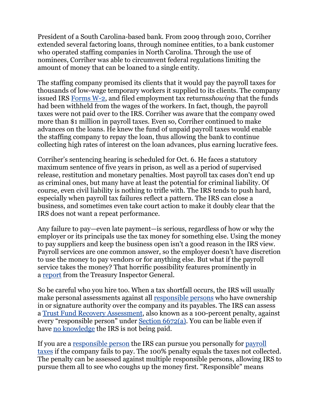President of a South Carolina-based bank. From 2009 through 2010, Corriher extended several factoring loans, through nominee entities, to a bank customer who operated staffing companies in North Carolina. Through the use of nominees, Corriher was able to circumvent federal regulations limiting the amount of money that can be loaned to a single entity.

The staffing company promised its clients that it would pay the payroll taxes for thousands of low-wage temporary workers it supplied to its clients. The company issued IRS [Forms W-2,](https://www.forbes.com/sites/robertwood/2017/01/30/irs-form-1099-or-form-w-2/#7e8f5402133a) and filed employment tax returns*showing* that the funds had been withheld from the wages of the workers. In fact, though, the payroll taxes were not paid over to the IRS. Corriher was aware that the company owed more than \$1 million in payroll taxes. Even so, Corriher continued to make advances on the loans. He knew the fund of unpaid payroll taxes would enable the staffing company to repay the loan, thus allowing the bank to continue collecting high rates of interest on the loan advances, plus earning lucrative fees.

Corriher's sentencing hearing is scheduled for Oct. 6. He faces a statutory maximum sentence of five years in prison, as well as a period of supervised release, restitution and monetary penalties. Most payroll tax cases don't end up as criminal ones, but many have at least the potential for criminal liability. Of course, even civil liability is nothing to trifle with. The IRS tends to push hard, especially when payroll tax failures reflect a pattern. The IRS can close a business, and sometimes even take court action to make it doubly clear that the IRS does not want a repeat performance.

Any failure to pay—even late payment—is serious, regardless of how or why the employer or its principals use the tax money for something else. Using the money to pay suppliers and keep the business open isn't a good reason in the IRS view. Payroll services are one common answer, so the employer doesn't have discretion to use the money to pay vendors or for anything else. But what if the payroll service takes the money? That horrific possibility features prominently in a [report](http://www.treasury.gov/tigta/auditreports/2015reports/201540023fr.pdf) from the Treasury Inspector General.

So be careful who you hire too. When a tax shortfall occurs, the IRS will usually make personal assessments against all [responsible persons](http://blogs-images.forbes.com/robertwood/2011/03/11/irs-responsible-person-label-hurts/) who have ownership in or signature authority over the company and its payables. The IRS can assess a [Trust Fund Recovery Assessment,](http://www.irs.gov/businesses/small/article/0,,id=108357,00.html) also known as a 100-percent penalty, against every "responsible person" under [Section 6672\(a\).](http://www.taxalmanac.org/index.php/Internal_Revenue_Code:Sec._6672._Failure_to_collect_and_pay_over_tax,_or_attempt_to_evade_or_defeat_tax) You can be liable even if have [no knowledge](http://www.irs.gov/businesses/small/international/article/0,,id=106261,00.html) the IRS is not being paid.

If you are a [responsible person](http://www.forbes.com/sites/robertwood/2011/03/11/irs-responsible-person-label-hurts/) the IRS can pursue you personally for [payroll](http://www.irs.gov/businesses/small/article/0,,id=172179,00.html)  [taxes](http://www.irs.gov/businesses/small/article/0,,id=172179,00.html) if the company fails to pay. The 100% penalty equals the taxes not collected. The penalty can be assessed against multiple responsible persons, allowing IRS to pursue them all to see who coughs up the money first. "Responsible" means